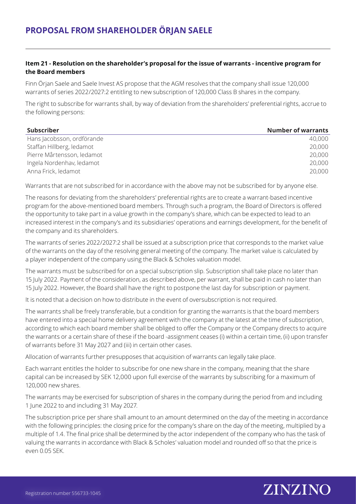# **Item 21 - Resolution on the shareholder's proposal for the issue of warrants - incentive program for the Board members**

Finn Örjan Saele and Saele Invest AS propose that the AGM resolves that the company shall issue 120,000 warrants of series 2022/2027:2 entitling to new subscription of 120,000 Class B shares in the company.

The right to subscribe for warrants shall, by way of deviation from the shareholders' preferential rights, accrue to the following persons:

| <b>Subscriber</b>          | <b>Number of warrants</b> |
|----------------------------|---------------------------|
| Hans Jacobsson, ordförande | 40,000                    |
| Staffan Hillberg, ledamot  | 20,000                    |
| Pierre Mårtensson, ledamot | 20,000                    |
| Ingela Nordenhav, ledamot  | 20,000                    |
| Anna Frick, ledamot        | 20,000                    |

Warrants that are not subscribed for in accordance with the above may not be subscribed for by anyone else.

The reasons for deviating from the shareholders' preferential rights are to create a warrant-based incentive program for the above-mentioned board members. Through such a program, the Board of Directors is offered the opportunity to take part in a value growth in the company's share, which can be expected to lead to an increased interest in the company's and its subsidiaries' operations and earnings development, for the benefit of the company and its shareholders.

The warrants of series 2022/2027:2 shall be issued at a subscription price that corresponds to the market value of the warrants on the day of the resolving general meeting of the company. The market value is calculated by a player independent of the company using the Black & Scholes valuation model.

The warrants must be subscribed for on a special subscription slip. Subscription shall take place no later than 15 July 2022. Payment of the consideration, as described above, per warrant, shall be paid in cash no later than 15 July 2022. However, the Board shall have the right to postpone the last day for subscription or payment.

It is noted that a decision on how to distribute in the event of oversubscription is not required.

The warrants shall be freely transferable, but a condition for granting the warrants is that the board members have entered into a special home delivery agreement with the company at the latest at the time of subscription, according to which each board member shall be obliged to offer the Company or the Company directs to acquire the warrants or a certain share of these if the board -assignment ceases (i) within a certain time, (ii) upon transfer of warrants before 31 May 2027 and (iii) in certain other cases.

Allocation of warrants further presupposes that acquisition of warrants can legally take place.

Each warrant entitles the holder to subscribe for one new share in the company, meaning that the share capital can be increased by SEK 12,000 upon full exercise of the warrants by subscribing for a maximum of 120,000 new shares.

The warrants may be exercised for subscription of shares in the company during the period from and including 1 June 2022 to and including 31 May 2027.

The subscription price per share shall amount to an amount determined on the day of the meeting in accordance with the following principles: the closing price for the company's share on the day of the meeting, multiplied by a multiple of 1.4. The final price shall be determined by the actor independent of the company who has the task of valuing the warrants in accordance with Black & Scholes' valuation model and rounded off so that the price is even 0.05 SEK.